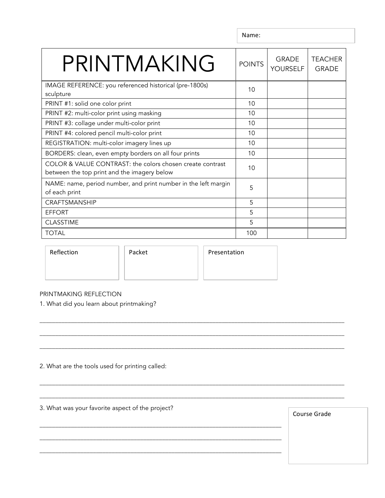Name:

| PRINTMAKING                                                                                              | <b>POINTS</b> | <b>GRADE</b><br><b>YOURSELF</b> | <b>TEACHER</b><br><b>GRADE</b> |
|----------------------------------------------------------------------------------------------------------|---------------|---------------------------------|--------------------------------|
| IMAGE REFERENCE: you referenced historical (pre-1800s)<br>sculpture                                      | 10            |                                 |                                |
| PRINT #1: solid one color print                                                                          | 10            |                                 |                                |
| PRINT #2: multi-color print using masking                                                                | 10            |                                 |                                |
| PRINT #3: collage under multi-color print                                                                | 10            |                                 |                                |
| PRINT #4: colored pencil multi-color print                                                               | 10            |                                 |                                |
| REGISTRATION: multi-color imagery lines up                                                               | 10            |                                 |                                |
| BORDERS: clean, even empty borders on all four prints                                                    | 10            |                                 |                                |
| COLOR & VALUE CONTRAST: the colors chosen create contrast<br>between the top print and the imagery below | 10            |                                 |                                |
| NAME: name, period number, and print number in the left margin<br>of each print                          | 5             |                                 |                                |
| <b>CRAFTSMANSHIP</b>                                                                                     | 5             |                                 |                                |
| <b>EFFORT</b>                                                                                            | 5             |                                 |                                |
| <b>CLASSTIME</b>                                                                                         | 5             |                                 |                                |
| <b>TOTAL</b>                                                                                             | 100           |                                 |                                |

\_\_\_\_\_\_\_\_\_\_\_\_\_\_\_\_\_\_\_\_\_\_\_\_\_\_\_\_\_\_\_\_\_\_\_\_\_\_\_\_\_\_\_\_\_\_\_\_\_\_\_\_\_\_\_\_\_\_\_\_\_\_\_\_\_\_\_\_\_\_\_\_\_\_\_\_\_\_\_\_\_\_\_\_\_\_\_\_\_\_\_\_\_\_\_\_\_

\_\_\_\_\_\_\_\_\_\_\_\_\_\_\_\_\_\_\_\_\_\_\_\_\_\_\_\_\_\_\_\_\_\_\_\_\_\_\_\_\_\_\_\_\_\_\_\_\_\_\_\_\_\_\_\_\_\_\_\_\_\_\_\_\_\_\_\_\_\_\_\_\_\_\_\_\_\_\_\_\_\_\_\_\_\_\_\_\_\_\_\_\_\_\_\_\_

\_\_\_\_\_\_\_\_\_\_\_\_\_\_\_\_\_\_\_\_\_\_\_\_\_\_\_\_\_\_\_\_\_\_\_\_\_\_\_\_\_\_\_\_\_\_\_\_\_\_\_\_\_\_\_\_\_\_\_\_\_\_\_\_\_\_\_\_\_\_\_\_\_\_\_\_\_\_\_\_\_\_\_\_\_\_\_\_\_\_\_\_\_\_\_\_\_

\_\_\_\_\_\_\_\_\_\_\_\_\_\_\_\_\_\_\_\_\_\_\_\_\_\_\_\_\_\_\_\_\_\_\_\_\_\_\_\_\_\_\_\_\_\_\_\_\_\_\_\_\_\_\_\_\_\_\_\_\_\_\_\_\_\_\_\_\_\_\_\_\_\_\_\_\_\_\_\_\_\_\_\_\_\_\_\_\_\_\_\_\_\_\_\_\_

\_\_\_\_\_\_\_\_\_\_\_\_\_\_\_\_\_\_\_\_\_\_\_\_\_\_\_\_\_\_\_\_\_\_\_\_\_\_\_\_\_\_\_\_\_\_\_\_\_\_\_\_\_\_\_\_\_\_\_\_\_\_\_\_\_\_\_\_\_\_\_\_\_\_\_\_\_\_\_\_\_\_\_\_\_\_\_\_\_\_\_\_\_\_\_\_\_

\_\_\_\_\_\_\_\_\_\_\_\_\_\_\_\_\_\_\_\_\_\_\_\_\_\_\_\_\_\_\_\_\_\_\_\_\_\_\_\_\_\_\_\_\_\_\_\_\_\_\_\_\_\_\_\_\_\_\_\_\_\_\_\_\_\_\_\_\_\_\_\_\_\_\_\_\_

\_\_\_\_\_\_\_\_\_\_\_\_\_\_\_\_\_\_\_\_\_\_\_\_\_\_\_\_\_\_\_\_\_\_\_\_\_\_\_\_\_\_\_\_\_\_\_\_\_\_\_\_\_\_\_\_\_\_\_\_\_\_\_\_\_\_\_\_\_\_\_\_\_\_\_\_\_

\_\_\_\_\_\_\_\_\_\_\_\_\_\_\_\_\_\_\_\_\_\_\_\_\_\_\_\_\_\_\_\_\_\_\_\_\_\_\_\_\_\_\_\_\_\_\_\_\_\_\_\_\_\_\_\_\_\_\_\_\_\_\_\_\_\_\_\_\_\_\_\_\_\_\_\_\_

Reflection | Packet | Presentation

## PRINTMAKING REFLECTION

1. What did you learn about printmaking?

2. What are the tools used for printing called:

3. What was your favorite aspect of the project?

Course Grade